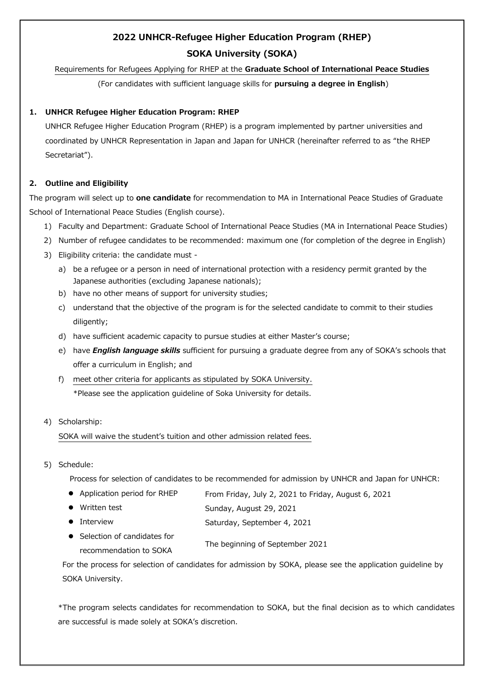# **2022 UNHCR-Refugee Higher Education Program (RHEP) SOKA University (SOKA)**

Requirements for Refugees Applying for RHEP at the **Graduate School of International Peace Studies**

(For candidates with sufficient language skills for **pursuing a degree in English**)

# **1. UNHCR Refugee Higher Education Program: RHEP**

UNHCR Refugee Higher Education Program (RHEP) is a program implemented by partner universities and coordinated by UNHCR Representation in Japan and Japan for UNHCR (hereinafter referred to as "the RHEP Secretariat").

# **2. Outline and Eligibility**

The program will select up to **one candidate** for recommendation to MA in International Peace Studies of Graduate School of International Peace Studies (English course).

- 1) Faculty and Department: Graduate School of International Peace Studies (MA in International Peace Studies)
- 2) Number of refugee candidates to be recommended: maximum one (for completion of the degree in English)
- 3) Eligibility criteria: the candidate must
	- a) be a refugee or a person in need of international protection with a residency permit granted by the Japanese authorities (excluding Japanese nationals);
	- b) have no other means of support for university studies;
	- c) understand that the objective of the program is for the selected candidate to commit to their studies diligently;
	- d) have sufficient academic capacity to pursue studies at either Master's course;
	- e) have *English language skills* sufficient for pursuing a graduate degree from any of SOKA's schools that offer a curriculum in English; and
	- f) meet other criteria for applicants as stipulated by SOKA University. \*Please see the application guideline of Soka University for details.

#### 4) Scholarship:

SOKA will waive the student's tuition and other admission related fees.

5) Schedule:

Process for selection of candidates to be recommended for admission by UNHCR and Japan for UNHCR:

| • Application period for RHEP | From Friday, July 2, 2021 to Friday, August 6, 2021 |
|-------------------------------|-----------------------------------------------------|
|                               |                                                     |

- Written test Sunday, August 29, 2021
- Interview Saturday, September 4, 2021
- **•** Selection of candidates for recommendation to SOKA The beginning of September 2021

For the process for selection of candidates for admission by SOKA, please see the application guideline by SOKA University.

\*The program selects candidates for recommendation to SOKA, but the final decision as to which candidates are successful is made solely at SOKA's discretion.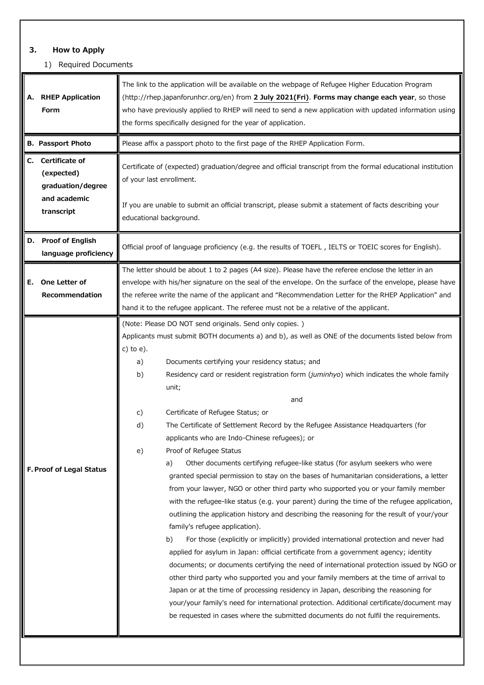# **3. How to Apply**

# 1) Required Documents

| A. RHEP Application<br>Form                                             | The link to the application will be available on the webpage of Refugee Higher Education Program<br>(http://rhep.japanforunhcr.org/en) from 2 July 2021(Fri). Forms may change each year, so those<br>who have previously applied to RHEP will need to send a new application with updated information using<br>the forms specifically designed for the year of application.                                                                                                                                                                                                                                                                                                                                                                                                                                                                                                                                                                                                                                                                                                                                                                                                                                                                                                                                                                                                                                                                                                                                                                                                                                                                                                                                                                |  |
|-------------------------------------------------------------------------|---------------------------------------------------------------------------------------------------------------------------------------------------------------------------------------------------------------------------------------------------------------------------------------------------------------------------------------------------------------------------------------------------------------------------------------------------------------------------------------------------------------------------------------------------------------------------------------------------------------------------------------------------------------------------------------------------------------------------------------------------------------------------------------------------------------------------------------------------------------------------------------------------------------------------------------------------------------------------------------------------------------------------------------------------------------------------------------------------------------------------------------------------------------------------------------------------------------------------------------------------------------------------------------------------------------------------------------------------------------------------------------------------------------------------------------------------------------------------------------------------------------------------------------------------------------------------------------------------------------------------------------------------------------------------------------------------------------------------------------------|--|
| <b>B. Passport Photo</b>                                                | Please affix a passport photo to the first page of the RHEP Application Form.                                                                                                                                                                                                                                                                                                                                                                                                                                                                                                                                                                                                                                                                                                                                                                                                                                                                                                                                                                                                                                                                                                                                                                                                                                                                                                                                                                                                                                                                                                                                                                                                                                                               |  |
| Certificate of<br>C.<br>(expected)<br>graduation/degree<br>and academic | Certificate of (expected) graduation/degree and official transcript from the formal educational institution<br>of your last enrollment.                                                                                                                                                                                                                                                                                                                                                                                                                                                                                                                                                                                                                                                                                                                                                                                                                                                                                                                                                                                                                                                                                                                                                                                                                                                                                                                                                                                                                                                                                                                                                                                                     |  |
| transcript                                                              | If you are unable to submit an official transcript, please submit a statement of facts describing your<br>educational background.                                                                                                                                                                                                                                                                                                                                                                                                                                                                                                                                                                                                                                                                                                                                                                                                                                                                                                                                                                                                                                                                                                                                                                                                                                                                                                                                                                                                                                                                                                                                                                                                           |  |
| D. Proof of English<br>language proficiency                             | Official proof of language proficiency (e.g. the results of TOEFL, IELTS or TOEIC scores for English).                                                                                                                                                                                                                                                                                                                                                                                                                                                                                                                                                                                                                                                                                                                                                                                                                                                                                                                                                                                                                                                                                                                                                                                                                                                                                                                                                                                                                                                                                                                                                                                                                                      |  |
| One Letter of<br>Е.<br>Recommendation                                   | The letter should be about 1 to 2 pages (A4 size). Please have the referee enclose the letter in an<br>envelope with his/her signature on the seal of the envelope. On the surface of the envelope, please have<br>the referee write the name of the applicant and "Recommendation Letter for the RHEP Application" and<br>hand it to the refugee applicant. The referee must not be a relative of the applicant.                                                                                                                                                                                                                                                                                                                                                                                                                                                                                                                                                                                                                                                                                                                                                                                                                                                                                                                                                                                                                                                                                                                                                                                                                                                                                                                           |  |
| F. Proof of Legal Status                                                | (Note: Please DO NOT send originals. Send only copies.)<br>Applicants must submit BOTH documents a) and b), as well as ONE of the documents listed below from<br>c) to $e$ ).<br>Documents certifying your residency status; and<br>a)<br>Residency card or resident registration form (juminhyo) which indicates the whole family<br>b)<br>unit;<br>and<br>Certificate of Refugee Status; or<br>C)<br>d)<br>The Certificate of Settlement Record by the Refugee Assistance Headquarters (for<br>applicants who are Indo-Chinese refugees); or<br>Proof of Refugee Status<br>e)<br>Other documents certifying refugee-like status (for asylum seekers who were<br>a)<br>granted special permission to stay on the bases of humanitarian considerations, a letter<br>from your lawyer, NGO or other third party who supported you or your family member<br>with the refugee-like status (e.g. your parent) during the time of the refugee application,<br>outlining the application history and describing the reasoning for the result of your/your<br>family's refugee application).<br>For those (explicitly or implicitly) provided international protection and never had<br>b)<br>applied for asylum in Japan: official certificate from a government agency; identity<br>documents; or documents certifying the need of international protection issued by NGO or<br>other third party who supported you and your family members at the time of arrival to<br>Japan or at the time of processing residency in Japan, describing the reasoning for<br>your/your family's need for international protection. Additional certificate/document may<br>be requested in cases where the submitted documents do not fulfil the requirements. |  |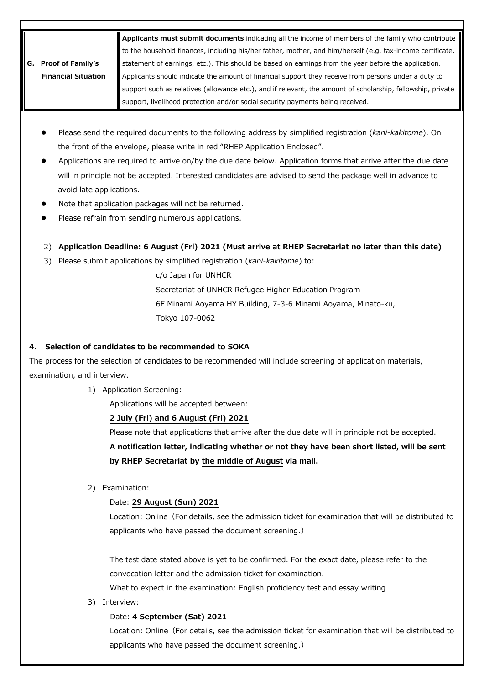| Applicants must submit documents indicating all the income of members of the family who contribute |                                                                                                             |
|----------------------------------------------------------------------------------------------------|-------------------------------------------------------------------------------------------------------------|
|                                                                                                    | to the household finances, including his/her father, mother, and him/herself (e.g. tax-income certificate,  |
| <b>Proof of Family's</b>                                                                           | statement of earnings, etc.). This should be based on earnings from the year before the application.        |
| <b>Financial Situation</b>                                                                         | Applicants should indicate the amount of financial support they receive from persons under a duty to        |
|                                                                                                    | support such as relatives (allowance etc.), and if relevant, the amount of scholarship, fellowship, private |
|                                                                                                    | support, livelihood protection and/or social security payments being received.                              |

- Please send the required documents to the following address by simplified registration (*kani-kakitome*). On the front of the envelope, please write in red "RHEP Application Enclosed".
- Applications are required to arrive on/by the due date below. Application forms that arrive after the due date will in principle not be accepted. Interested candidates are advised to send the package well in advance to avoid late applications.
- Note that application packages will not be returned.
- Please refrain from sending numerous applications.
- 2) **Application Deadline: 6 August (Fri) 2021 (Must arrive at RHEP Secretariat no later than this date)**
- 3) Please submit applications by simplified registration (*kani-kakitome*) to:

c/o Japan for UNHCR Secretariat of UNHCR Refugee Higher Education Program 6F Minami Aoyama HY Building, 7-3-6 Minami Aoyama, Minato-ku, Tokyo 107-0062

# **4. Selection of candidates to be recommended to SOKA**

The process for the selection of candidates to be recommended will include screening of application materials, examination, and interview.

1) Application Screening:

Applications will be accepted between:

#### **2 July (Fri) and 6 August (Fri) 2021**

Please note that applications that arrive after the due date will in principle not be accepted.

**A notification letter, indicating whether or not they have been short listed, will be sent by RHEP Secretariat by the middle of August via mail.**

2) Examination:

# Date: **29 August (Sun) 2021**

Location: Online (For details, see the admission ticket for examination that will be distributed to applicants who have passed the document screening.)

The test date stated above is yet to be confirmed. For the exact date, please refer to the convocation letter and the admission ticket for examination.

What to expect in the examination: English proficiency test and essay writing

3) Interview:

#### Date: **4 September (Sat) 2021**

Location: Online (For details, see the admission ticket for examination that will be distributed to applicants who have passed the document screening.)